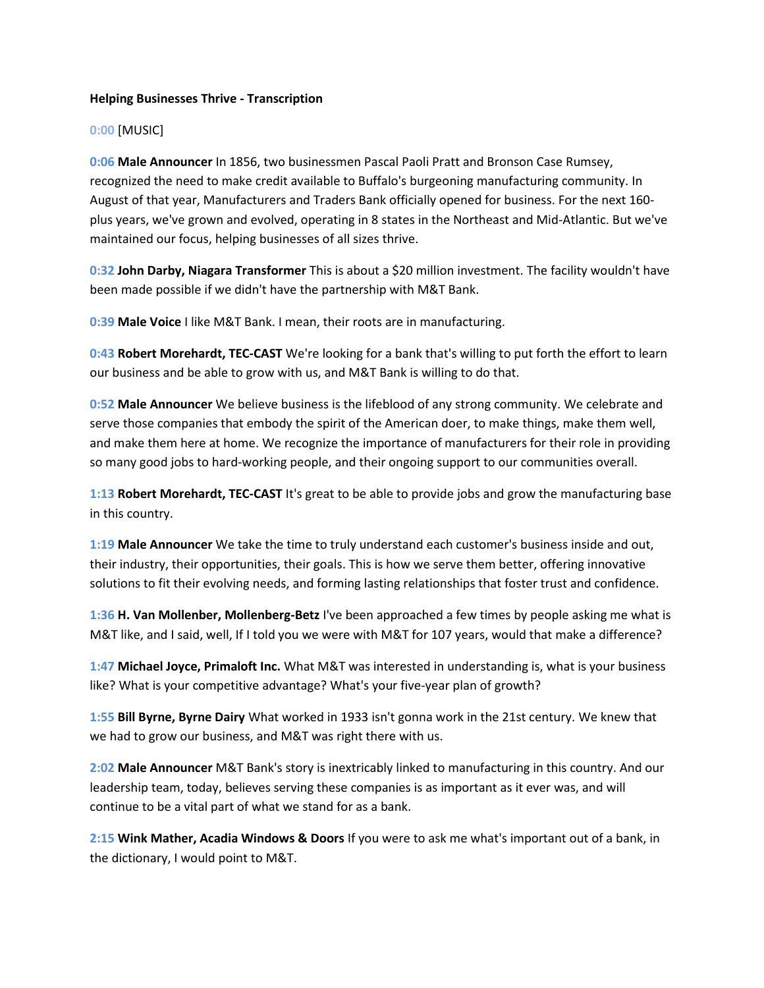## **Helping Businesses Thrive - Transcription**

## **0:00** [MUSIC]

**0:06 Male Announcer** In 1856, two businessmen Pascal Paoli Pratt and Bronson Case Rumsey, recognized the need to make credit available to Buffalo's burgeoning manufacturing community. In August of that year, Manufacturers and Traders Bank officially opened for business. For the next 160 plus years, we've grown and evolved, operating in 8 states in the Northeast and Mid-Atlantic. But we've maintained our focus, helping businesses of all sizes thrive.

**0:32 John Darby, Niagara Transformer** This is about a \$20 million investment. The facility wouldn't have been made possible if we didn't have the partnership with M&T Bank.

**0:39 Male Voice** I like M&T Bank. I mean, their roots are in manufacturing.

**0:43 Robert Morehardt, TEC-CAST** We're looking for a bank that's willing to put forth the effort to learn our business and be able to grow with us, and M&T Bank is willing to do that.

**0:52 Male Announcer** We believe business is the lifeblood of any strong community. We celebrate and serve those companies that embody the spirit of the American doer, to make things, make them well, and make them here at home. We recognize the importance of manufacturers for their role in providing so many good jobs to hard-working people, and their ongoing support to our communities overall.

**1:13 Robert Morehardt, TEC-CAST** It's great to be able to provide jobs and grow the manufacturing base in this country.

**1:19 Male Announcer** We take the time to truly understand each customer's business inside and out, their industry, their opportunities, their goals. This is how we serve them better, offering innovative solutions to fit their evolving needs, and forming lasting relationships that foster trust and confidence.

**1:36 H. Van Mollenber, Mollenberg-Betz** I've been approached a few times by people asking me what is M&T like, and I said, well, If I told you we were with M&T for 107 years, would that make a difference?

**1:47 Michael Joyce, Primaloft Inc.** What M&T was interested in understanding is, what is your business like? What is your competitive advantage? What's your five-year plan of growth?

**1:55 Bill Byrne, Byrne Dairy** What worked in 1933 isn't gonna work in the 21st century. We knew that we had to grow our business, and M&T was right there with us.

**2:02 Male Announcer** M&T Bank's story is inextricably linked to manufacturing in this country. And our leadership team, today, believes serving these companies is as important as it ever was, and will continue to be a vital part of what we stand for as a bank.

**2:15 Wink Mather, Acadia Windows & Doors** If you were to ask me what's important out of a bank, in the dictionary, I would point to M&T.